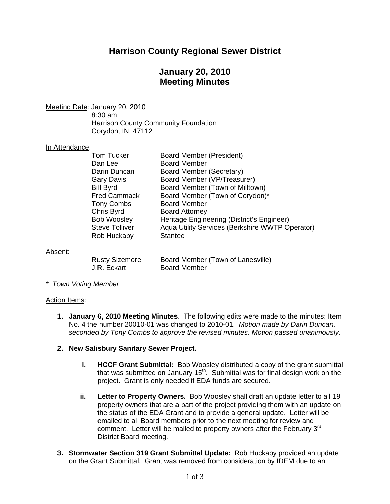# **Harrison County Regional Sewer District**

# **January 20, 2010 Meeting Minutes**

Meeting Date: January 20, 2010

 8:30 am Harrison County Community Foundation Corydon, IN 47112

#### In Attendance:

| Tom Tucker            | <b>Board Member (President)</b>                 |
|-----------------------|-------------------------------------------------|
| Dan Lee               | <b>Board Member</b>                             |
| Darin Duncan          | Board Member (Secretary)                        |
| <b>Gary Davis</b>     | Board Member (VP/Treasurer)                     |
| <b>Bill Byrd</b>      | Board Member (Town of Milltown)                 |
| <b>Fred Cammack</b>   | Board Member (Town of Corydon)*                 |
| <b>Tony Combs</b>     | <b>Board Member</b>                             |
| Chris Byrd            | <b>Board Attorney</b>                           |
| <b>Bob Woosley</b>    | Heritage Engineering (District's Engineer)      |
| <b>Steve Tolliver</b> | Aqua Utility Services (Berkshire WWTP Operator) |
| Rob Huckaby           | <b>Stantec</b>                                  |
|                       |                                                 |

#### Absent:

| <b>Rusty Sizemore</b> | Board Member (Town of Lanesville) |
|-----------------------|-----------------------------------|
| J.R. Eckart           | <b>Board Member</b>               |

*\* Town Voting Member* 

#### Action Items:

**1. January 6, 2010 Meeting Minutes**. The following edits were made to the minutes: Item No. 4 the number 20010-01 was changed to 2010-01. *Motion made by Darin Duncan, seconded by Tony Combs to approve the revised minutes. Motion passed unanimously.* 

#### **2. New Salisbury Sanitary Sewer Project.**

- **i. HCCF Grant Submittal:** Bob Woosley distributed a copy of the grant submittal that was submitted on January  $15<sup>th</sup>$ . Submittal was for final design work on the project. Grant is only needed if EDA funds are secured.
- **ii. Letter to Property Owners.** Bob Woosley shall draft an update letter to all 19 property owners that are a part of the project providing them with an update on the status of the EDA Grant and to provide a general update. Letter will be emailed to all Board members prior to the next meeting for review and comment. Letter will be mailed to property owners after the February 3<sup>rd</sup> District Board meeting.
- **3. Stormwater Section 319 Grant Submittal Update:** Rob Huckaby provided an update on the Grant Submittal. Grant was removed from consideration by IDEM due to an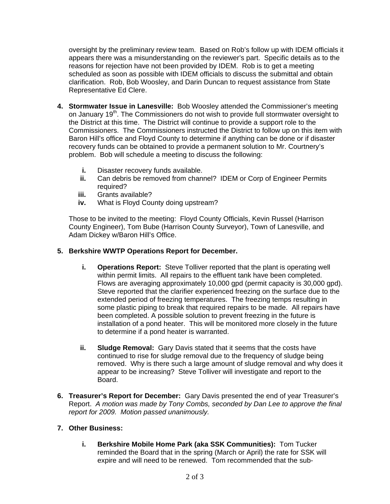oversight by the preliminary review team. Based on Rob's follow up with IDEM officials it appears there was a misunderstanding on the reviewer's part. Specific details as to the reasons for rejection have not been provided by IDEM. Rob is to get a meeting scheduled as soon as possible with IDEM officials to discuss the submittal and obtain clarification. Rob, Bob Woosley, and Darin Duncan to request assistance from State Representative Ed Clere.

- **4. Stormwater Issue in Lanesville:** Bob Woosley attended the Commissioner's meeting on January 19<sup>th</sup>. The Commissioners do not wish to provide full stormwater oversight to the District at this time. The District will continue to provide a support role to the Commissioners. The Commissioners instructed the District to follow up on this item with Baron Hill's office and Floyd County to determine if anything can be done or if disaster recovery funds can be obtained to provide a permanent solution to Mr. Courtnery's problem. Bob will schedule a meeting to discuss the following:
	- **i.** Disaster recovery funds available.
	- **ii.** Can debris be removed from channel? IDEM or Corp of Engineer Permits required?
	- **iii.** Grants available?
	- **iv.** What is Floyd County doing upstream?

Those to be invited to the meeting: Floyd County Officials, Kevin Russel (Harrison County Engineer), Tom Bube (Harrison County Surveyor), Town of Lanesville, and Adam Dickey w/Baron Hill's Office.

### **5. Berkshire WWTP Operations Report for December.**

- **i. Operations Report:** Steve Tolliver reported that the plant is operating well within permit limits. All repairs to the effluent tank have been completed. Flows are averaging approximately 10,000 gpd (permit capacity is 30,000 gpd). Steve reported that the clarifier experienced freezing on the surface due to the extended period of freezing temperatures. The freezing temps resulting in some plastic piping to break that required repairs to be made. All repairs have been completed. A possible solution to prevent freezing in the future is installation of a pond heater. This will be monitored more closely in the future to determine if a pond heater is warranted.
- **ii. Sludge Removal:** Gary Davis stated that it seems that the costs have continued to rise for sludge removal due to the frequency of sludge being removed. Why is there such a large amount of sludge removal and why does it appear to be increasing? Steve Tolliver will investigate and report to the Board.
- **6. Treasurer's Report for December:** Gary Davis presented the end of year Treasurer's Report. *A motion was made by Tony Combs, seconded by Dan Lee to approve the final report for 2009. Motion passed unanimously.*

### **7. Other Business:**

**i. Berkshire Mobile Home Park (aka SSK Communities):** Tom Tucker reminded the Board that in the spring (March or April) the rate for SSK will expire and will need to be renewed. Tom recommended that the sub